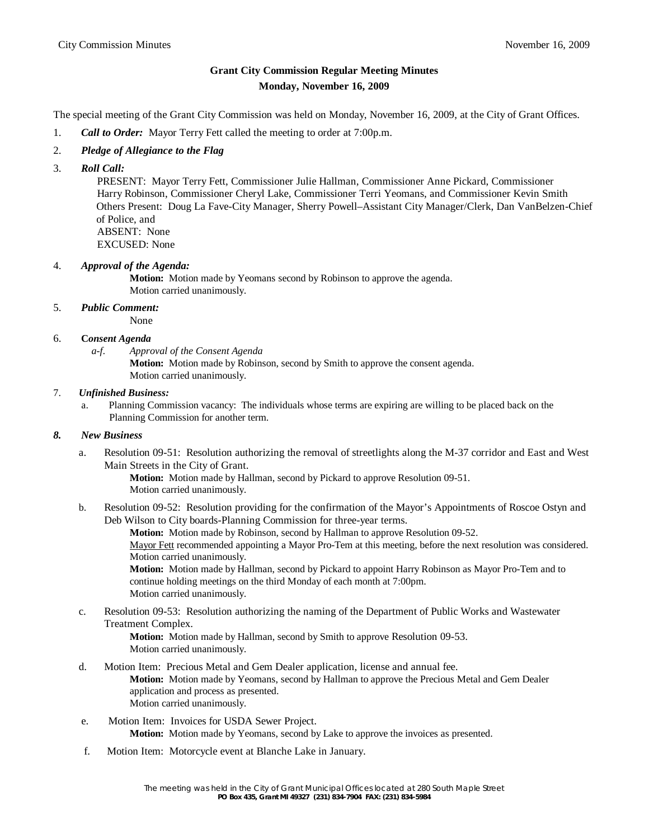# **Grant City Commission Regular Meeting Minutes Monday, November 16, 2009**

The special meeting of the Grant City Commission was held on Monday, November 16, 2009, at the City of Grant Offices.

- 1. *Call to Order:* Mayor Terry Fett called the meeting to order at 7:00p.m.
- 2. *Pledge of Allegiance to the Flag*
- 3. *Roll Call:*

 PRESENT: Mayor Terry Fett, Commissioner Julie Hallman, Commissioner Anne Pickard, Commissioner Harry Robinson, Commissioner Cheryl Lake, Commissioner Terri Yeomans, and Commissioner Kevin Smith Others Present: Doug La Fave-City Manager, Sherry Powell–Assistant City Manager/Clerk, Dan VanBelzen-Chief of Police, and ABSENT: None

EXCUSED: None

#### 4. *Approval of the Agenda:*

**Motion:** Motion made by Yeomans second by Robinson to approve the agenda. Motion carried unanimously.

## 5. *Public Comment:*

None

# 6. **C***onsent Agenda*

*a-f. Approval of the Consent Agenda*

**Motion:** Motion made by Robinson, second by Smith to approve the consent agenda. Motion carried unanimously.

#### 7. *Unfinished Business:*

 a. Planning Commission vacancy: The individuals whose terms are expiring are willing to be placed back on the Planning Commission for another term.

## *8. New Business*

a. Resolution 09-51: Resolution authorizing the removal of streetlights along the M-37 corridor and East and West Main Streets in the City of Grant.

**Motion:** Motion made by Hallman, second by Pickard to approve Resolution 09-51. Motion carried unanimously.

b. Resolution 09-52: Resolution providing for the confirmation of the Mayor's Appointments of Roscoe Ostyn and Deb Wilson to City boards-Planning Commission for three-year terms.

**Motion:** Motion made by Robinson, second by Hallman to approve Resolution 09-52.

Mayor Fett recommended appointing a Mayor Pro-Tem at this meeting, before the next resolution was considered. Motion carried unanimously.

**Motion:** Motion made by Hallman, second by Pickard to appoint Harry Robinson as Mayor Pro-Tem and to continue holding meetings on the third Monday of each month at 7:00pm. Motion carried unanimously.

c. Resolution 09-53: Resolution authorizing the naming of the Department of Public Works and Wastewater Treatment Complex.

> **Motion:** Motion made by Hallman, second by Smith to approve Resolution 09-53. Motion carried unanimously.

- d. Motion Item: Precious Metal and Gem Dealer application, license and annual fee. **Motion:** Motion made by Yeomans, second by Hallman to approve the Precious Metal and Gem Dealer application and process as presented. Motion carried unanimously.
- e. Motion Item: Invoices for USDA Sewer Project. **Motion:** Motion made by Yeomans, second by Lake to approve the invoices as presented.
- f. Motion Item: Motorcycle event at Blanche Lake in January.